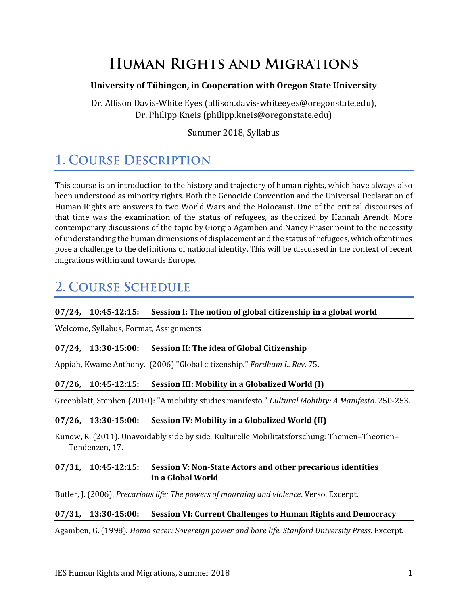## **HUMAN RIGHTS AND MIGRATIONS**

#### **University of Tübingen, in Cooperation with Oregon State University**

Dr. Allison Davis-White Eyes (allison.davis-whiteeyes@oregonstate.edu), Dr. Philipp Kneis (philipp.kneis@oregonstate.edu)

Summer 2018, Syllabus

# **1. COURSE DESCRIPTION**

This course is an introduction to the history and trajectory of human rights, which have always also been understood as minority rights. Both the Genocide Convention and the Universal Declaration of Human Rights are answers to two World Wars and the Holocaust. One of the critical discourses of that time was the examination of the status of refugees, as theorized by Hannah Arendt. More contemporary discussions of the topic by Giorgio Agamben and Nancy Fraser point to the necessity of understanding the human dimensions of displacement and the status of refugees, which oftentimes pose a challenge to the definitions of national identity. This will be discussed in the context of recent migrations within and towards Europe.

## **2. COURSE SCHEDULE**

#### **07/24, 10:45-12:15: Session I: The notion of global citizenship in a global world**

Welcome, Syllabus, Format, Assignments

#### **07/24, 13:30-15:00: Session II: The idea of Global Citizenship**

Appiah, Kwame Anthony. (2006) "Global citizenship." *Fordham L. Rev*. 75.

#### **07/26, 10:45-12:15: Session III: Mobility in a Globalized World (I)**

Greenblatt, Stephen (2010): "A mobility studies manifesto." *Cultural Mobility: A Manifesto*. 250-253.

#### **07/26, 13:30-15:00: Session IV: Mobility in a Globalized World (II)**

Kunow, R. (2011). Unavoidably side by side. Kulturelle Mobilitätsforschung: Themen–Theorien– Tendenzen, 17.

#### **07/31, 10:45-12:15: Session V: Non-State Actors and other precarious identities in a Global World**

Butler, J. (2006). *Precarious life: The powers of mourning and violence*. Verso. Excerpt.

#### **07/31, 13:30-15:00: Session VI: Current Challenges to Human Rights and Democracy**

Agamben, G. (1998). *Homo sacer: Sovereign power and bare life. Stanford University Press.* Excerpt.